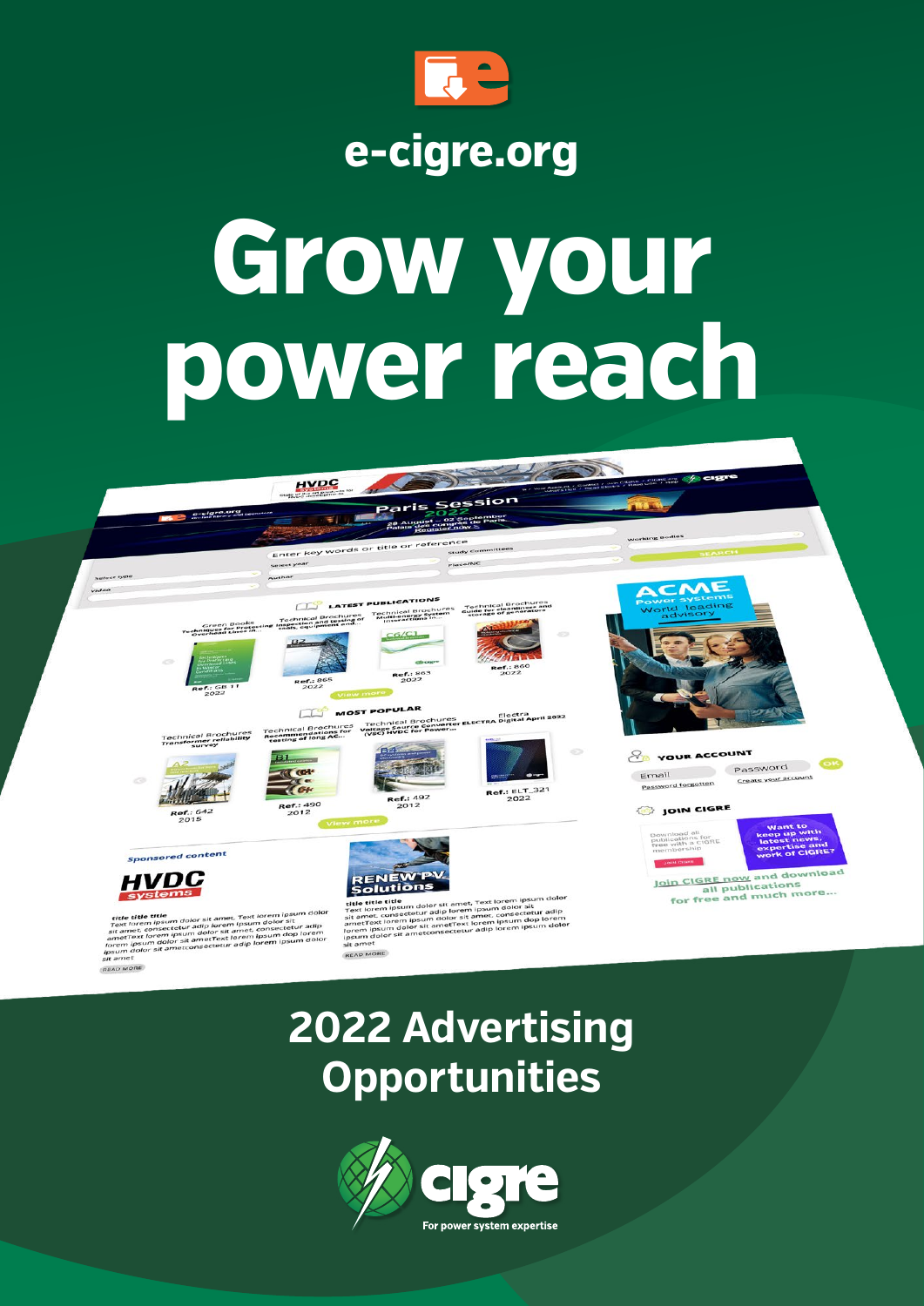

### **e-cigre.org**

# **Grow your power reach**



## **2022 Advertising Opportunities**

**READ MORE** 

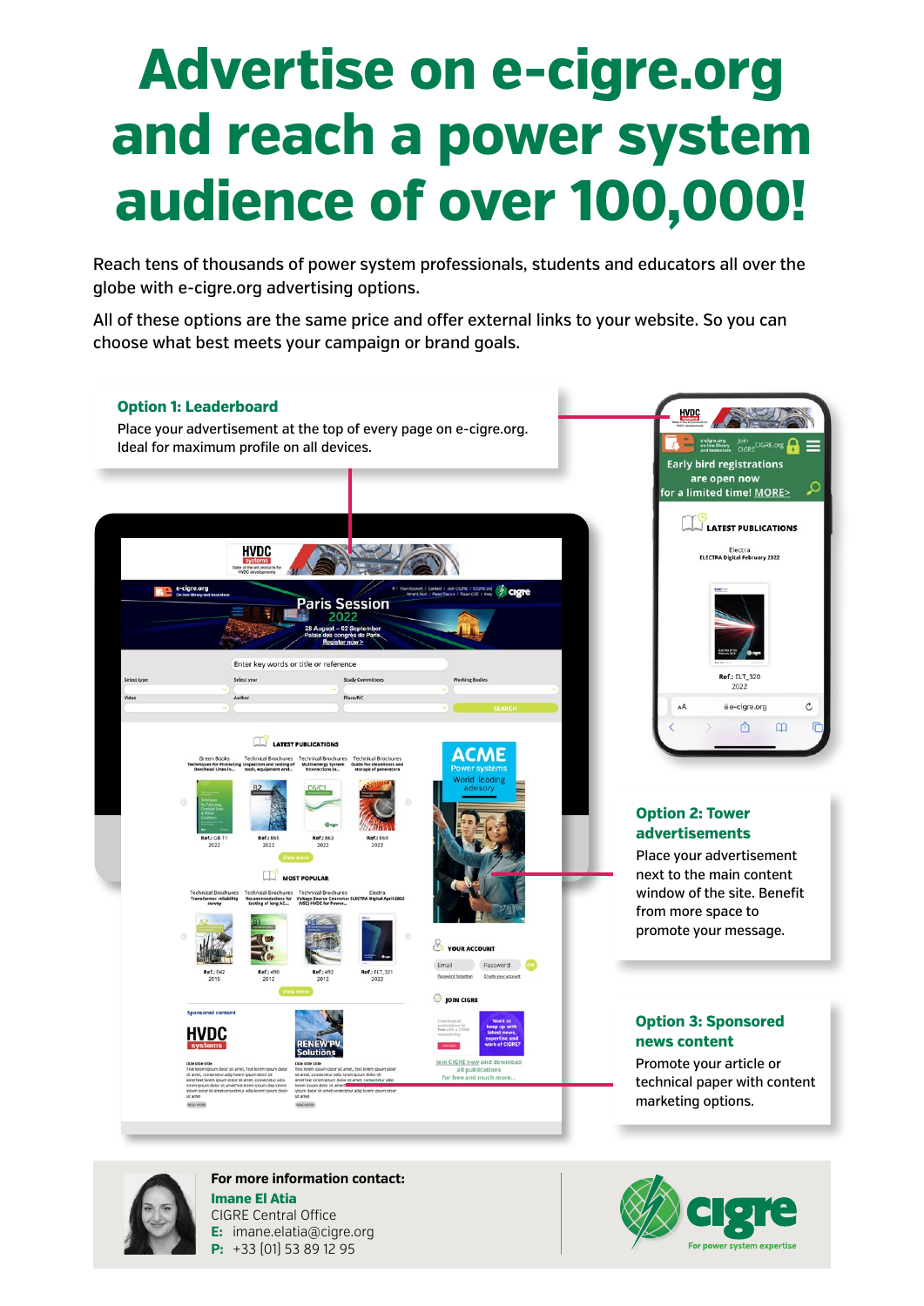## **Advertise on e-cigre.org and reach a power system audience of over 100,000!**

Reach tens of thousands of power system professionals, students and educators all over the globe with e-cigre.org advertising options.

All of these options are the same price and offer external links to your website. So you can choose what best meets your campaign or brand goals.





**For more information contact: Imane El Atia** CIGRE Central Office **E:** imane.elatia@cigre.org **P:** +33 (01) 53 89 12 95

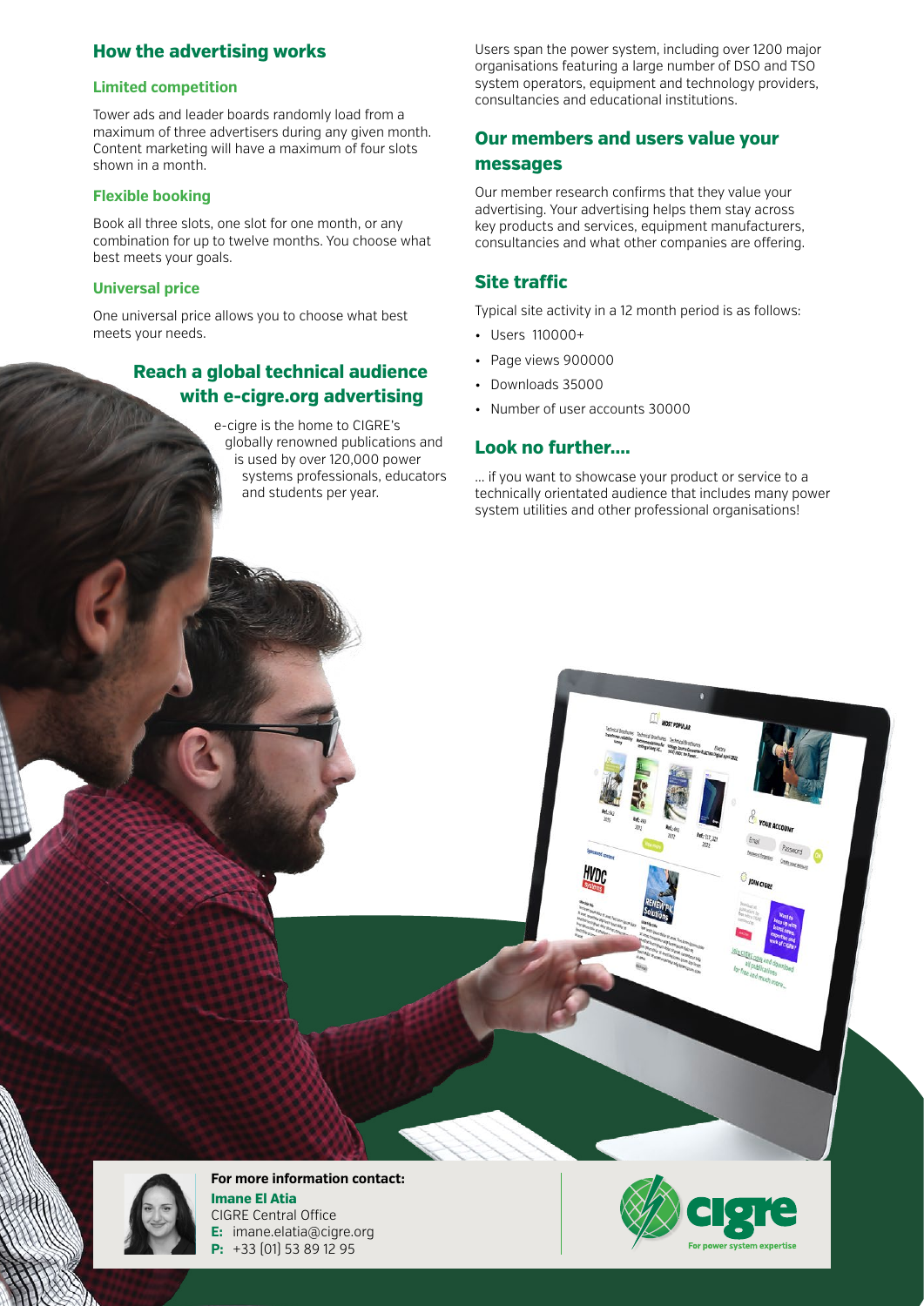#### **How the advertising works**

#### **Limited competition**

Tower ads and leader boards randomly load from a maximum of three advertisers during any given month. Content marketing will have a maximum of four slots shown in a month.

#### **Flexible booking**

Book all three slots, one slot for one month, or any combination for up to twelve months. You choose what best meets your goals.

#### **Universal price**

One universal price allows you to choose what best meets your needs.

#### **Reach a global technical audience with e-cigre.org advertising**

e-cigre is the home to CIGRE's globally renowned publications and is used by over 120,000 power systems professionals, educators and students per year.

Users span the power system, including over 1200 major organisations featuring a large number of DSO and TSO system operators, equipment and technology providers, consultancies and educational institutions.

#### **Our members and users value your messages**

Our member research confirms that they value your advertising. Your advertising helps them stay across key products and services, equipment manufacturers, consultancies and what other companies are offering.

#### **Site traffic**

Typical site activity in a 12 month period is as follows:

- Users 110000+
- Page views 900000
- Downloads 35000
- Number of user accounts 30000

#### **Look no further....**

... if you want to showcase your product or service to a technically orientated audience that includes many power system utilities and other professional organisations!



**For more information contact: Imane El Atia** CIGRE Central Office **E:** imane.elatia@cigre.org **P:** +33 (01) 53 89 12 95